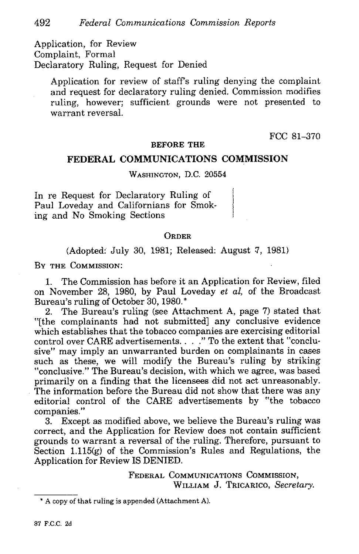Application, for Review Complaint, Formal Declaratory Ruling, Request for Denied

Application for review of staff's ruling denying the complaint and request for declaratory ruling denied. Commission modifies ruling, however; sufficient grounds were not presented to warrant reversal.

FCC 81-370

### **BEFORE THE**

# **FEDERAL COMMUNICATIONS COMMISSION**

### WASHINGTON, D.C. 20554

In re Request for Declaratory Ruling of Paul Loveday and Californians for Smoking and No Smoking Sections

## **ORDER**

(Adopted: July 30, 1981; Released: August 7, 1981)

BY THE COMMISSION:

1. The Commission has before it an Application for Review, filed on November 28, 1980, by Paul Loveday *et al,* of the Broadcast Bureau's ruling of October 30, 1980. \*

2. The Bureau's ruling (see Attachment A, page 7) stated that "[the complainants had not submitted) any conclusive evidence which establishes that the tobacco companies are exercising editorial control over CARE advertisements. . . . . " To the extent that "conclusive" may imply an unwarranted burden on complainants in cases such as these, we will modify the Bureau's ruling by striking "conclusive." The Bureau's decision, with which we agree, was based primarily on a finding that the licensees did not act unreasonably. The information before the Bureau did not show that there was any editorial control of the CARE advertisements by "the tobacco companies.

3. Except as modified above, we believe the Bureau's ruling was correct, and the Application for Review does not contain sufficient grounds to warrant a reversal of the ruling. Therefore, pursuant to Section 1.115(g) of the Commission's Rules and Regulations, the Application for Review IS DENIED.

> **FEDERAL COMMUNICATIONS COMMIssIoN, WILLIAM J. TRICARICO,** *Secretary.*

<sup>&#</sup>x27;A copy of that ruling is appended (Attachment A).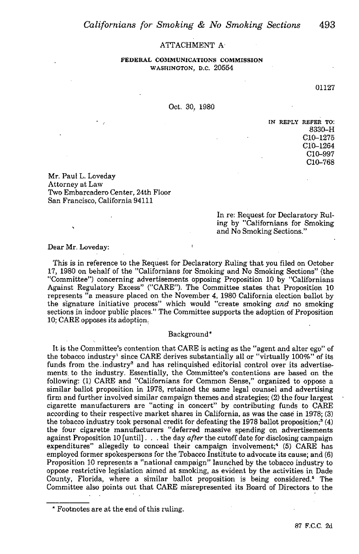#### ATTACHMENT A

**FEDERAL COMMVNICATIONS COMMISSION WASHiNGTON, D.C.** 20554

01127

Oct. 30, 1980

**IN REPLY REFER To:** 8330-H C10-1275 C10-1264 C10-997 C10-768

Mr. Paul L. Loveday Attorney at Law Two Embarcadero Center, 24th Floor San Francisco, California 94111

> In re: Request *for* Declaratory Ruling by "Californians for Smoking and No Smoking Sections."

Dear Mr. Loveday:

This is in reference to the Request for Declaratory Ruling that you filed on October 17, 1980 on behalf of the "Californians for Smoking and No Smoking Sections" (the "Committee") concerning advertisements opposing Proposition 10 by "Californians Against Regulatory Excess" ("CARE"). The Committee states that Proposition 10 represents "a measure placed on the November 4, 1980 California election ballot by the signature initiative process" which would "create smoking *and* no smoking sections in indoor public places." The Committee supports the adoption of Proposition 10; CARE opposes its adoption,

#### Background

It is the Committee's contention that CARE **is acting as** the "agent and alter ego" of the tobacco industry1 since CARE derives substantially all or "virtually 100%" of its funds from the industry<sup>2</sup> and has relinquished editorial control over its advertisements. to the industry. Essentially, the Committee's contentions are based on the following: (1) CARE and "Californians for Common Sense," organized to oppose a similar ballot proposition in 1978, retained the same legal counsel and advertising firm and further involved similar campaign themes and strategies; (2) the four largest cigarette manufacturers are "acting in concert" by contributing funds to CARE **according** to their respective market shares in California, as was the case in 1978; (3) the tobacco industry took personal credit for defeating the 1978 ballot proposition;<sup>2</sup> (4) the four cigarette manufacturers "deferred massive spending on advertisements against Proposition 10 [until]. . . the day *after* the cutoff date for disclosing campaign expenditures" allegedly to conceal their campaign involvement;<sup>4</sup> (5) CARE has employed former spokespersons for the,Tobacco Institute to advocate its cause; and (6) Proposition 10 represents a "national campaign" launched by the tobacco industry to oppose restrictive legislation aimed at smoking, as evident by the activities in Dade County, Florida, where a similar ballot proposition is being considered.<sup>5</sup> The Committee also points out that CARE misrepresented its Board of Directors to the

Footnotes are at the end of this ruling.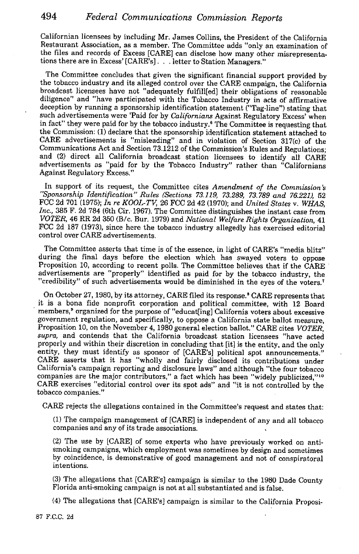Californian licensees by including Mr. James Collins, the President of the California Restaurant Association, as a member. The Committee adds "only an examination of the files and records of Excess [CARE] can disclose how many other misrepresentations there are in Excess' [CARE's]. . . letter to Station Managers."

The Committee concludes that given the significant financial support provided by the tobacco industry and its alleged control over the CARE campaign, the California broadcast licensees have not "adequately fuifill[ed] their obligations of reasonable diligence" and "have participated with the Tobacco Industry in acts of affirmative deception by running a sponsorship identification statement ("Tag-line") stating that such advertisements were Paid for by *Californians* Against Regulatory Excess' when in fact" they were paid for by the tobacco industry.<sup>8</sup> The Committee is requesting that the Commission: (1) declare that the sponsorship identification statement attached to CARE advertisements is "misleading" and in violation of Section 317(c) of the Communications Act and Section 73.1212 of the Commission's Rules and Regulations; and (2) direct all California broadcast station licensees to identify all CARE advertisements as "paid for by the Tobacco Industry" rather than "Californians Against Regulatory Excess."

In support of its request, the Committee cites *Amendment of the Commission "Sponsorship Identification" Rules (Sections 73.129, 73.289, 73.789 and 76.22I),* 52 FCC 2d 701 (1975); *In re KOOL-TV,* 26 FCC 2d 42 (1970); and *United States* v. *WHAS,* Inc., 385 F. 2d 784 (6th Cir. 1967). The Committee distinguishes the instant case from *VOTER,* 46 ER 2d 350 (B/c. Bur, 1979) and *National Welfare Rights Organization,* 41 FCC 2d 187 (1973), since here the tobacco industry allegedly has exercised editorial control over CARE advertisements.

The Committee asserts that time is of the essence, in light of CARE's "media blitz" during the final days before the election which has swayed voters to oppose Proposition 10, according to recent polls. The Committee believes that if the CARE advertisements are "properly" identified as paid for by the tobacco industry, the "credibility" of such advertisements would be diminished in the eyes of the voters,7

On October 27, 1980, by its attorney, CARE filed its response.<sup>8</sup> CARE represents that it is a bona fide nonprofit corporation and political committee, with 12 Board members,<sup>9</sup> organized for the purpose of "educat[ing] California voters about excessive government regulation, and specifically, to oppose a California state ballot measure, Proposition 10, on the November 4, 1980 general election ballot." CARE cites *VOTER, supra,* and contends that the California broadcast station licensees "have acted properly and within their discretion in concluding that [it] is the entity, and the only entity, they must identify as sponsor of [CARE's] political spot announcements." CARE asserts that it has "wholly and fairly disclosed its contributions under California's campaign reporting and disclosure laws" and although "the four tobacco companies are the major contributors," a fact which has been "widely publicized,"<sup>10</sup> CARE exercises "editorial control over its spot ads" and "it is not controlled by the tobacco companies."

CARE rejects the allegations contained in the Committee's request and states that:

(1) The campaign management of [CARE] is independent of any and all tobacco companies and any of its trade associations.

(2) The use by [CARE] of some experts who have previously worked on antismoking campaigns, which employment was sometimes by design and sometimes by coincidence, is demonstrative of good management and not of conspiratoral intentions.

(3) The allegations that [CARE's] campaign is similar to the 1980 Dade County Florida anti-smoking campaign is not at all substantiated and is false.

(4) The allegations that [CARE's] campaign is similar to the California Proposi-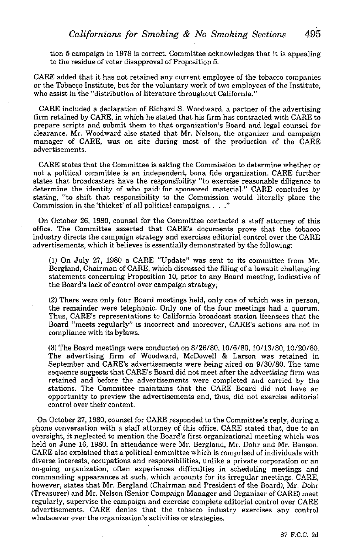tion 5 campaign in 1978 is correct. Committee acknowledges that it is appealing to the residue of voter disapproval of Proposition 5.

CARE added that it has not retained any current employee of the tobacco companies or the Tobacco Institute, but for the voluntary work of two employees of the Institute, who assist in the "distribution of literature throughout California."

CARE included a declaration of Richard S. Woodward, a partner of the advertising firm retained by CARE, in which he stated that his firm has contracted with CARE to prepare scripts and submit them to that organization's Board and legal counsel for clearance. Mr. Woodward also stated that Mr. Nelson, the organizer and campaign manager of CARE, was on site during most of the production of the CARE advertisements.

stating, to since that responsibility to the commission commission CARE states that the Committee is asking the Commission to determine whether or not a political committee is an independent, bona fide organization. CARE further states that broadcasters have the responsibility "to exercise reasonable diligence to determine the identity of who paid for sponsored material." CARE concludes by stating, "to shift that responsibility to the Commission would literally place the

On October 26, 1980, counsel for the Committee contacted a staff attorney of this office. The Committee asserted that CARE's documents prove that the tobacco industry directs the campaign strategy and exercises editorial control over the CARE advertisements, which it believes is essentially demonstrated by the following:

(1) On July 27, 1980 a CARE "Update" was sent to its committee from Mr. Bergland, Chairman of CARE, which discussed the filing of a lawsuit challenging statements concerning Proposition 10, prior to any Board meeting, indicative of the Board's lack of control over campaign strategy;

(2) There were only four Board meetings held, only one of which was in person, the remainder were telephonic. Only one of the four meetings had a quorum. Thus, CARE's representations to California broadcast station licensees that the Board "meets regularly" is incorrect and moreover, CARE's actions are not in compliance with its bylaws.

(3) The Board meetings were conducted on 8/26/80, 10/6/80, 10/13/80, 10/20/80. The advertising firm of Woodward, McDowell & Larson was retained in September and CARE's advertisements were being aired on 9/30/80. The time sequence suggests that CARE's Board did not meet after the advertising firm was retained and before the advertisements were completed and carried by the stations. The Committee maintains that the CARE Board did not have an opportunity to preview the advertisements and, thus, did not exercise editorial control over their content.

On October 27, 1980, counsel for CARE responded to the Committee's reply, during a phone conversation with a staff attorney of this office. CARE stated that, due to an oversight, it neglected to mention the Board's first organizational meeting which was held on June 16, 1980. In attendance were Mr. Bergland, Mr. Dohr and Mr. Benson. CARE also explained that a political committee which is comprised of individuals with diverse interests, occupations and responsibilities, unlike a private corporation or an on-going organization, often experiences difficulties in scheduling meetings and commanding appearances at such, which accounts for its irregular meetings. CARE, however, states that Mr. Bergland (Chairman and President of' the Board), Mr. Dohr (Treasurer) and Mr. Nelson (Senior Campaign Manager and Organizer of CARE) meet regularly, supervise the campaign and exercise complete editorial control over CARE advertisements. CARE denies that the tobacco industry exercises any control whatsoever over the organization's activities or strategies.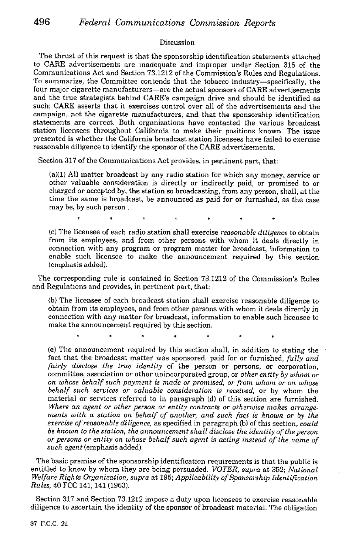### Discussion

The thrust of this request is that the sponsorship identification statements attached to CARE advertisements are inadequate and improper under Section 315 of the Communications Act and Section 73.1212 of the Commission's Rules and Regulations. To summarize, the Committee contends that the tobacco industry-specifically, the four major cigarette manufacturers—are the actual sponsors of CARE advertisements and the true strategists behind CARE's campaign drive and should be identified as such; CARE asserts that it exercises control over all of the advertisements and the campaign, not the cigarette manufacturers, and that the sponsorship identification statements are correct. Both organizations have contacted the various broadcast station licensees throughout California to make their positions known, The issue presented is whether the California broadcast station licensees have failed to exercise reasonable diligence to identify the sponsor of the CARE advertisements.

Section 317 of the Communications Act provides, in pertinent part, that

 $(a)(1)$  All matter broadcast by any radio station for which any money, service or other valuable consideration is directly or indirectly paid, or promised to or charged or accepted by, the station so broadcasting, from any person, shall, at the time the same is broadcast, be announced as paid for or furnished, as the case may be, by such person.

(a) The licensee of each radio station shall exercise *reasonable diligence* to obtain from its employees, and from other persons with whom it deals directly in connection with any program or program matter for broadcast, information to enable such licensee to make the announcement required by this section (emphasis added).

The corresponding rule is contained in Section 73.1212 of the Commission's Rules and Regulations and provides, in pertinent part, that:

(b) The licensee of each broadcast station shall exercise reasonable diligence to obtain from its employees, and from other persons with whom it deals directly in connection with any matter for broadcast, information to enable such licensee to make the announcement required by this section.

(e) The announcement required by this section shall, in addition to stating the fact that the broadcast matter was sponsored, paid for or furnished, *fully and* fairly disclose the true identity of the person or persons, or corporation, committee, association or other unincorporated group, or *other entity by whom or on whose behalf such payment is made or promised, or from wham* or on *whose behalf such services or valuable consideration is received,* or by whom the material or services referred to in paragraph (d) of this section are furnished. *Where an agent or other person or entity contracts or otherwise makes arrange. ments with a station on behalf of another,, and such fact is known or by the* exercise of reasonable diligence, as specified in paragraph (b) of this section, *could be known to the station, the announcement shall disclose the identity of the person or persons or entity on whose behalf such agent is acting instead of the name of* such agent (emphasis added).

The basic premise of the sponsorship identification requirements is that the public is entitled to know by whom they are being persuaded. *VOTER*, *supra* at 352; *National Welfare Rights Organization, supra* at 195; *Applicability of Sponsorship identification* Rules, 40 FCC 141, 141 (1963).

Section 317 and Section 73.1212 impose a duty upon licensees to exercise reasonable diligence to ascertain the identity of the sponsor of broadcast material. The obligation

87 F.C.C. 2d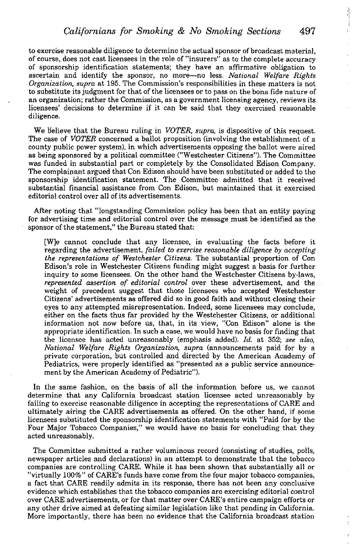to exercise reasonable diligence to determine the actual sponsor of broadcast material, of course, does not cast licensees in the role of "insurers" as to the complete accuracy of sponsorship identification statements; they have an affirmative obligation to ascertain and identify the sponsor, no more-no less. *National Welfare Rights* Organization, supra at 195. The Commission's responsibilities in these matters is not to substitute its judgment for that of the licensees or to pass on the bona fide nature of an organization; rather the Commission, as a government licensing agency, reviews its licensees' decisions to determine if it can be said that they exercised reasonable diligence.

We believe that the Bureau ruling in *VOTER, supra,* is dispositive of this request. The case of *VOTER* concerned a ballot proposition (involving the establishment of a county public power system), in which advertisements opposing the ballot were aired as being sponsored by a political committee ("Westchester Citizens"). The Committee was funded in substantial part or completely by the Consolidated Edison Company. The complainant argued that Con Edison should have been substituted or added to the sponsorship identification statement. The Committee admitted that it received substantial financial assistance from Con Edison, but maintained that it exercised editorial control over all of its advertisements.

After noting that "longstanding Commission policy has been that an entity paying for advertising time and editorial control over the message must be identified as the sponsor of the statement," the Bureau stated that:

[Wie cannot conclude that any licensee, in evaluating the facts before it *regarding the advertisement, failed to exercise reasonable diligence by accepting the representation.s of Westchester Citizens.* The substantial proportion of Con Edison's role in Westchester Citizens funding might suggest a basis for further inquiry to some licensees. On the other hand the Westchester Citizens by-laws, *represented assertion of editorial control* over these advertisement, and the weight of precedent suggest that those licensees who accepted Westchester Citizens' advertisements as offered did so in good faith and without closing their eyes to any attempted misrepresentation. Indeed, some licensees may conclude, either on the facts thus far provided by the Westchester Citizens, or additional information not now before us, that, in its view, "Con Edison" alone is the appropriate identification. In such a case, we would have no basis for finding that the licensee has acted unreasonably (emphasis added). *Id.* at 352; *see also, National Welfare Rights Organization, supra* (announcements paid for by a private corporation, but controlled and directed by the American Academy of Pediatrics, were properly identified as "presented as a public service announcement by the American Academy of Pediatric").

In the same fashion, on the basis of all the information before us, we cannot determine that any California broadcast station licensee acted unreasonably by failing to exercise reasonable diligence in accepting the representations of CARE and ultimately airing the CARE advertisements as offered. On the other hand, if some licensees substituted the sponsorship identification. statements with "Paid for by the Four Major Tobacco Companies," we would have no basis for concluding that they acted unreasonably.

The Committee submitted a rather voluminous record (consisting of studies, polls, newspaper articles and declarations) in an attempt to demonstrate that the tobacco companies are controlling CARE. While it has been shown that substantially all or "virtually 100%" of CARE's funds have come from the four major tobacco companies, a fact that CARE readily admits in its response, there has not been any conclusive evidence which establishes that the tobacco companies are exercising editorial control over CARE advertisements, or for that matter over CARE's entire campaign efforts or any other drive aimed at defeating similar legislation like that pending in California. More importantly, there has been no evidence that the California broadcast station Þ

ţ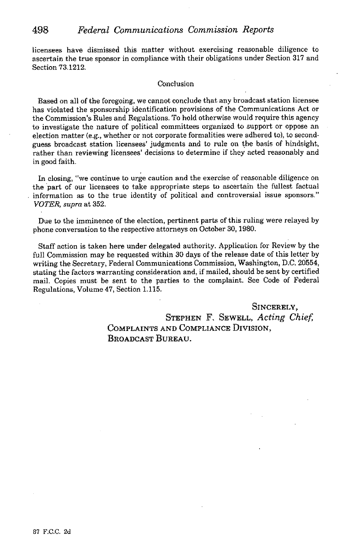# 498 *Federal Communications Commission Reports*

licensees have dismissed this matter without exercising reasonable diligence to ascertain the true sponsor in compliance with their obligations under Section 317 and Section 73.1212.

#### Conclusion

Based on all of the foregoing, we cannot conclude that any broadcast station licensee has violated the sponsorship identification provisions of the Communications Act or the Commission's Rules and Regulations. To hold otherwise would require this agency to investigate the nature of political committees organized to support or oppose an election matter (e.g., whether or not corporate formalities were adhered to), to secondguess broadcast station licensees' judgments and to rule on the basis of hindsight, rather than reviewing licensees' decisions to determine if they acted reasonably and in good faith.

In closing, "we continue to urge caution and the exercise of reasonable diligence on the part of our licensees to take appropriate steps to ascertain the fullest factual information as to the true identity of political and controversial issue sponsors." *VOTER, supra* at 352.

Due to the imminence of the election, pertinent parts of this ruling were relayed by phone conversation to the respective attorneys on October 30, 1980.

Staff action is taken here under delegated authority. Application for Review by the full Commission may be requested within 30 days of the release date of this letter by writing the Secretary, Federal Communications Commission, Washington, D.C. 20554, stating the factors warranting consideration and, if mailed, should be sent by certified mail. Copies must be sent to the parties to the complaint. See Code of Federal Regulations, Volume 47, Section 1.115.

> SINCERELY, STEPHEN F. SEWELL, *Acting Chief* COMPLAINTS AND COMPLIANCE DIvIsIoN, BROADCAST BUREAU.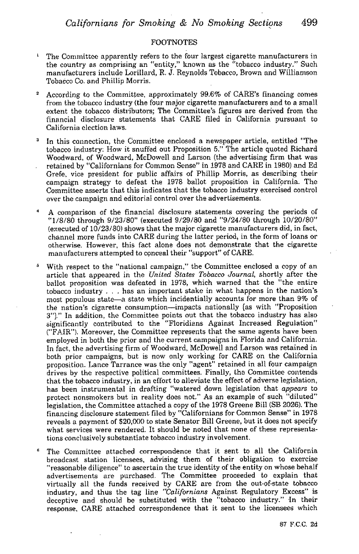#### **FOOTNOTES**

- The Committee apparently refers to the four largest cigarette manufacturers in the country as comprising an "entity," known as the "tobacco industry." Such manufacturers include Lorillard, K J. Reynolds Tobacco, Brown and Williamson Tobacco Co. and Phillip Morris.
- <sup>2</sup> According to the Committee, approximately  $99.6\%$  of CARE's financing comes from the tobacco industry (the four major cigarette manufacturers and to a small extent the tobacco distributors; The Committee's figures are derived from the financial disclosure statements that CARE filed in California pursuant to California election laws.
- In this connection, the Committee enclosed a newspaper article, entitled "The tobacco industry: How it snuffed out Proposition 5." The article quoted Richard Woodward, of Woodward, McDowell and Larson (the advertising firm that was retained by "Californians for Common Sense" in 1978 and CARE in 1980) and Ed Grefe, vice president for public affairs of Phillip Morris, as describing their campaign strategy to defeat the 1978 ballot proposition in California. The Committee asserts that this indicates that the tobacco industry exercised control over the campaign and editorial control over the advertisements.
- A comparison of the financial disclosure statements covering the periods of "1/8/80 through 9/23/80" (executed 9/29/80 and *"9/24/80* through 10/20/80" (executed of 10/23/80) shows that the major cigarette manufacturers did, in fact, channel more funds into CARE during the latter period, in the form of loans or otherwise. However, this fact alone does not demonstrate that the cigarette manufacturers attempted to conceal their "support" of CARE.
- With respect to the "national campaign," the Committee enclosed a copy of an article that appeared in the *United States Tobacco Journal,* shortly after the ballot proposition was defeated in 1978, which warned that the "the entire tobacco industry . . . has an important stake in what happens in the nation's most populous state-a state which incidentially accounts for more than 9% of the nation's cigarette consumption-impacts nationally (as with "Proposition 3")." In addition, the Committee points out that the tobacco industry has also significantly contributed to the "Floridians Against Increased Regulation" ("FAIR"). Moreover, the Committee represents that the same agents have been employed in both the prior and the current campaigns in Florida and California. In fact, the advertising firm of Woodward, McDowell and Larson was retained in both prior campaigns, but is now only working for CARE on the California proposition. Lance Tarrance was the only "agent" retained in all four campaign drives by the respective political committees. Finally, the Committee contends that the tobacco industry, in an effort to alleviate the effect of adverse legislation, has been instrumental in drafting "watered down legislation that *appears* to protect nonsmokers but in reality does not." As an example of such "diluted" legislation, the Committee attached a copy of the 1978 Greene Bill (SB 2026). **The** financing disclosure statement filed by "Californians for Common Sense" in 1978 reveals a payment of S20,000 to state Senator Bill Greene, but it does not specify what services were rendered. It should be noted that none of these representations conclusively substantiate tobacco industry involvement.
- The Committee attached correspondence that it sent to all the California broadcast station licensees, advising them of their obligation to exercise "reasonable diligence" to ascertain the true identity of the entity on whose behalf advertisements are purchased. The Committee proceeded to explain that virtually all the funds received by CARE are from the out-of-state tobacco industry, and thus the tag line *"Californians* Against Regulatory Excess" is deceptive and should be substituted with the "tobacco industry." In their response, CARE attached correspondence that it sent to the licensees which